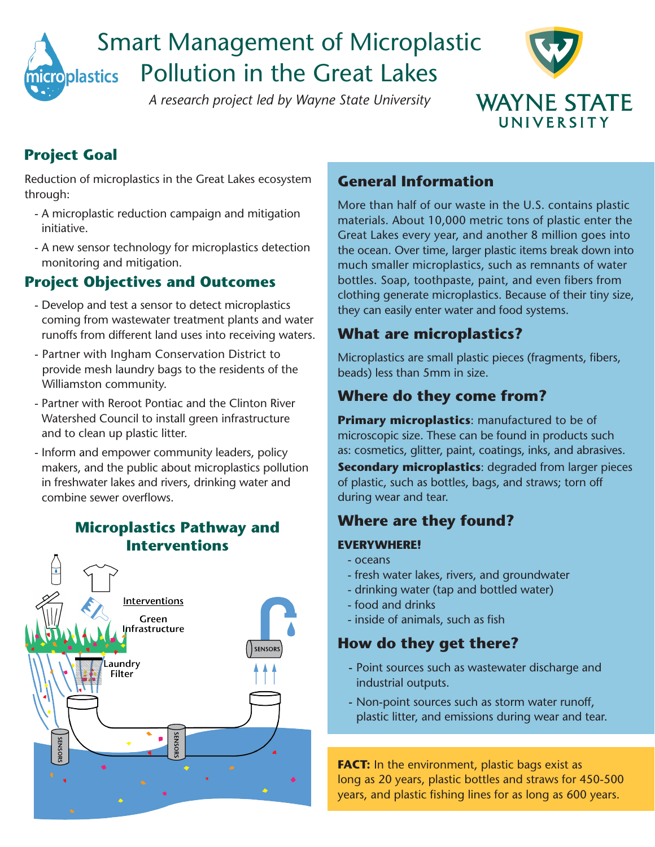

# Smart Management of Microplastic Pollution in the Great Lakes

*A research project led by Wayne State University*



# **Project Goal**

Reduction of microplastics in the Great Lakes ecosystem through:

- A microplastic reduction campaign and mitigation initiative.
- A new sensor technology for microplastics detection monitoring and mitigation.

# **Project Objectives and Outcomes**

- Develop and test a sensor to detect microplastics coming from wastewater treatment plants and water runoffs from different land uses into receiving waters.
- Partner with Ingham Conservation District to provide mesh laundry bags to the residents of the Williamston community.
- Partner with Reroot Pontiac and the Clinton River Watershed Council to install green infrastructure and to clean up plastic litter.
- Inform and empower community leaders, policy makers, and the public about microplastics pollution in freshwater lakes and rivers, drinking water and combine sewer overflows.

# **Microplastics Pathway and Interventions**Interventions Green hfrastructure **SENSORS** aundry **Filter** SENSORS

## **General Information**

More than half of our waste in the U.S. contains plastic materials. About 10,000 metric tons of plastic enter the Great Lakes every year, and another 8 million goes into the ocean. Over time, larger plastic items break down into much smaller microplastics, such as remnants of water bottles. Soap, toothpaste, paint, and even fibers from clothing generate microplastics. Because of their tiny size, they can easily enter water and food systems.

# **What are microplastics?**

Microplastics are small plastic pieces (fragments, fibers, beads) less than 5mm in size.

# **Where do they come from?**

**Primary microplastics**: manufactured to be of microscopic size. These can be found in products such as: cosmetics, glitter, paint, coatings, inks, and abrasives.

**Secondary microplastics:** degraded from larger pieces of plastic, such as bottles, bags, and straws; torn off during wear and tear.

#### **Where are they found?**

#### **EVERYWHERE!**

- oceans
- fresh water lakes, rivers, and groundwater
- drinking water (tap and bottled water)
- food and drinks
- inside of animals, such as fish

#### **How do they get there?**

- Point sources such as wastewater discharge and industrial outputs.
- Non-point sources such as storm water runoff, plastic litter, and emissions during wear and tear.

**FACT:** In the environment, plastic bags exist as long as 20 years, plastic bottles and straws for 450-500 years, and plastic fishing lines for as long as 600 years.